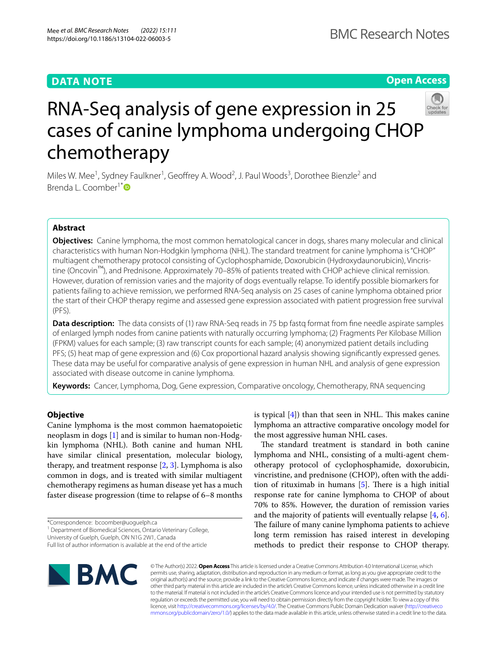# **DATA NOTE**

**Open Access**



# RNA-Seq analysis of gene expression in 25 cases of canine lymphoma undergoing CHOP chemotherapy

Miles W. Mee<sup>1</sup>, Sydney Faulkner<sup>1</sup>, Geoffrey A. Wood<sup>2</sup>, J. Paul Woods<sup>3</sup>, Dorothee Bienzle<sup>2</sup> and Brenda L. Coomber<sup>1[\\*](http://orcid.org/0000-0002-0776-5562)</sup><sup>D</sup>

# **Abstract**

**Objectives:** Canine lymphoma, the most common hematological cancer in dogs, shares many molecular and clinical characteristics with human Non-Hodgkin lymphoma (NHL). The standard treatment for canine lymphoma is "CHOP" multiagent chemotherapy protocol consisting of Cyclophosphamide, Doxorubicin (Hydroxydaunorubicin), Vincristine (Oncovin™), and Prednisone. Approximately 70–85% of patients treated with CHOP achieve clinical remission. However, duration of remission varies and the majority of dogs eventually relapse. To identify possible biomarkers for patients failing to achieve remission, we performed RNA-Seq analysis on 25 cases of canine lymphoma obtained prior the start of their CHOP therapy regime and assessed gene expression associated with patient progression free survival (PFS).

**Data description:** The data consists of (1) raw RNA-Seq reads in 75 bp fastq format from fine needle aspirate samples of enlarged lymph nodes from canine patients with naturally occurring lymphoma; (2) Fragments Per Kilobase Million (FPKM) values for each sample; (3) raw transcript counts for each sample; (4) anonymized patient details including PFS; (5) heat map of gene expression and (6) Cox proportional hazard analysis showing signifcantly expressed genes. These data may be useful for comparative analysis of gene expression in human NHL and analysis of gene expression associated with disease outcome in canine lymphoma.

**Keywords:** Cancer, Lymphoma, Dog, Gene expression, Comparative oncology, Chemotherapy, RNA sequencing

# **Objective**

Canine lymphoma is the most common haematopoietic neoplasm in dogs [\[1](#page-2-0)] and is similar to human non-Hodgkin lymphoma (NHL). Both canine and human NHL have similar clinical presentation, molecular biology, therapy, and treatment response [\[2](#page-2-1), [3\]](#page-2-2). Lymphoma is also common in dogs, and is treated with similar multiagent chemotherapy regimens as human disease yet has a much faster disease progression (time to relapse of 6–8 months

\*Correspondence: bcoomber@uoguelph.ca

University of Guelph, Guelph, ON N1G 2W1, Canada

Full list of author information is available at the end of the article



is typical  $[4]$  $[4]$ ) than that seen in NHL. This makes canine lymphoma an attractive comparative oncology model for the most aggressive human NHL cases.

The standard treatment is standard in both canine lymphoma and NHL, consisting of a multi-agent chemotherapy protocol of cyclophosphamide, doxorubicin, vincristine, and prednisone (CHOP), often with the addition of rituximab in humans  $[5]$  $[5]$ . There is a high initial response rate for canine lymphoma to CHOP of about 70% to 85%. However, the duration of remission varies and the majority of patients will eventually relapse [\[4](#page-2-3), [6](#page-2-5)]. The failure of many canine lymphoma patients to achieve long term remission has raised interest in developing methods to predict their response to CHOP therapy.

© The Author(s) 2022. **Open Access** This article is licensed under a Creative Commons Attribution 4.0 International License, which permits use, sharing, adaptation, distribution and reproduction in any medium or format, as long as you give appropriate credit to the original author(s) and the source, provide a link to the Creative Commons licence, and indicate if changes were made. The images or other third party material in this article are included in the article's Creative Commons licence, unless indicated otherwise in a credit line to the material. If material is not included in the article's Creative Commons licence and your intended use is not permitted by statutory regulation or exceeds the permitted use, you will need to obtain permission directly from the copyright holder. To view a copy of this licence, visit [http://creativecommons.org/licenses/by/4.0/.](http://creativecommons.org/licenses/by/4.0/) The Creative Commons Public Domain Dedication waiver ([http://creativeco](http://creativecommons.org/publicdomain/zero/1.0/) [mmons.org/publicdomain/zero/1.0/](http://creativecommons.org/publicdomain/zero/1.0/)) applies to the data made available in this article, unless otherwise stated in a credit line to the data.

<sup>&</sup>lt;sup>1</sup> Department of Biomedical Sciences, Ontario Veterinary College,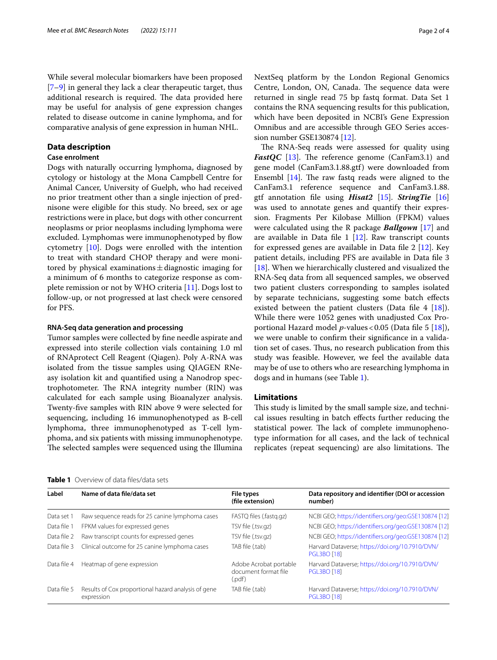While several molecular biomarkers have been proposed [[7–](#page-2-6)[9\]](#page-2-7) in general they lack a clear therapeutic target, thus additional research is required. The data provided here may be useful for analysis of gene expression changes related to disease outcome in canine lymphoma, and for comparative analysis of gene expression in human NHL.

# **Data description**

# **Case enrolment**

Dogs with naturally occurring lymphoma, diagnosed by cytology or histology at the Mona Campbell Centre for Animal Cancer, University of Guelph, who had received no prior treatment other than a single injection of prednisone were eligible for this study. No breed, sex or age restrictions were in place, but dogs with other concurrent neoplasms or prior neoplasms including lymphoma were excluded. Lymphomas were immunophenotyped by fow cytometry [\[10](#page-2-8)]. Dogs were enrolled with the intention to treat with standard CHOP therapy and were monitored by physical examinations  $\pm$  diagnostic imaging for a minimum of 6 months to categorize response as complete remission or not by WHO criteria [[11\]](#page-2-9). Dogs lost to follow-up, or not progressed at last check were censored for PFS.

#### **RNA‑Seq data generation and processing**

Tumor samples were collected by fne needle aspirate and expressed into sterile collection vials containing 1.0 ml of RNAprotect Cell Reagent (Qiagen). Poly A-RNA was isolated from the tissue samples using QIAGEN RNeasy isolation kit and quantifed using a Nanodrop spectrophotometer. The RNA integrity number (RIN) was calculated for each sample using Bioanalyzer analysis. Twenty-fve samples with RIN above 9 were selected for sequencing, including 16 immunophenotyped as B-cell lymphoma, three immunophenotyped as T-cell lymphoma, and six patients with missing immunophenotype. The selected samples were sequenced using the Illumina NextSeq platform by the London Regional Genomics Centre, London, ON, Canada. The sequence data were returned in single read 75 bp fastq format. Data Set 1 contains the RNA sequencing results for this publication, which have been deposited in NCBI's Gene Expression Omnibus and are accessible through GEO Series accession number GSE130874 [[12](#page-2-10)].

The RNA-Seq reads were assessed for quality using *FastQC* [\[13](#page-2-11)]. The reference genome (CanFam3.1) and gene model (CanFam3.1.88.gtf) were downloaded from Ensembl  $[14]$  $[14]$ . The raw fastq reads were aligned to the CanFam3.1 reference sequence and CanFam3.1.88. gtf annotation fle using *Hisat2* [[15\]](#page-2-13). *StringTie* [[16](#page-2-14)] was used to annotate genes and quantify their expression. Fragments Per Kilobase Million (FPKM) values were calculated using the R package *Ballgown* [[17\]](#page-2-15) and are available in Data file  $1$  [[12\]](#page-2-10). Raw transcript counts for expressed genes are available in Data fle 2 [\[12](#page-2-10)]. Key patient details, including PFS are available in Data fle 3 [[18\]](#page-2-16). When we hierarchically clustered and visualized the RNA-Seq data from all sequenced samples, we observed two patient clusters corresponding to samples isolated by separate technicians, suggesting some batch efects existed between the patient clusters (Data file 4 [\[18\]](#page-2-16)). While there were 1052 genes with unadjusted Cox Proportional Hazard model *p*-values<0.05 (Data fle 5 [\[18\]](#page-2-16)), we were unable to confrm their signifcance in a validation set of cases. Thus, no research publication from this study was feasible. However, we feel the available data may be of use to others who are researching lymphoma in dogs and in humans (see Table [1\)](#page-1-0).

# **Limitations**

This study is limited by the small sample size, and technical issues resulting in batch efects further reducing the statistical power. The lack of complete immunophenotype information for all cases, and the lack of technical replicates (repeat sequencing) are also limitations. The

| Label       | Name of data file/data set                                        | <b>File types</b><br>(file extension)                    | Data repository and identifier (DOI or accession<br>number)           |
|-------------|-------------------------------------------------------------------|----------------------------------------------------------|-----------------------------------------------------------------------|
| Data set 1  | Raw sequence reads for 25 canine lymphoma cases                   | FASTQ files (.fastq.qz)                                  | NCBI GEO; https://identifiers.org/geo:GSE130874 [12]                  |
| Data file 1 | FPKM values for expressed genes                                   | TSV file (.tsv.gz)                                       | NCBI GEO; https://identifiers.org/geo:GSE130874 [12]                  |
| Data file 2 | Raw transcript counts for expressed genes                         | TSV file (.tsv.gz)                                       | NCBI GEO; https://identifiers.org/geo:GSE130874 [12]                  |
| Data file 3 | Clinical outcome for 25 canine lymphoma cases                     | TAB file (.tab)                                          | Harvard Dataverse; https://doi.org/10.7910/DVN/<br><b>PGL3BO [18]</b> |
| Data file 4 | Heatmap of gene expression                                        | Adobe Acrobat portable<br>document format file<br>(.pdf) | Harvard Dataverse; https://doi.org/10.7910/DVN/<br><b>PGL3BO [18]</b> |
| Data file 5 | Results of Cox proportional hazard analysis of gene<br>expression | TAB file (.tab)                                          | Harvard Dataverse; https://doi.org/10.7910/DVN/<br><b>PGL3BO [18]</b> |

<span id="page-1-0"></span>**Table 1** Overview of data fles/data sets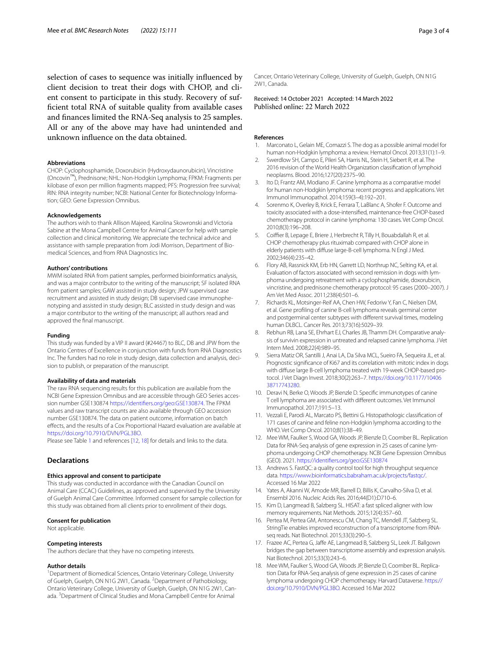selection of cases to sequence was initially infuenced by client decision to treat their dogs with CHOP, and client consent to participate in this study. Recovery of suffcient total RNA of suitable quality from available cases and fnances limited the RNA-Seq analysis to 25 samples. All or any of the above may have had unintended and unknown infuence on the data obtained.

#### **Abbreviations**

CHOP: Cyclophosphamide, Doxorubicin (Hydroxydaunorubicin), Vincristine (Oncovin™), Prednisone; NHL: Non-Hodgkin Lymphoma; FPKM: Fragments per kilobase of exon per million fragments mapped; PFS: Progression free survival; RIN: RNA integrity number; NCBI: National Center for Biotechnology Information; GEO: Gene Expression Omnibus.

#### **Acknowledgements**

The authors wish to thank Allison Majeed, Karolina Skowronski and Victoria Sabine at the Mona Campbell Centre for Animal Cancer for help with sample collection and clinical monitoring. We appreciate the technical advice and assistance with sample preparation from Jodi Morrison, Department of Biomedical Sciences, and from RNA Diagnostics Inc.

#### **Authors' contributions**

MWM isolated RNA from patient samples, performed bioinformatics analysis, and was a major contributor to the writing of the manuscript; SF isolated RNA from patient samples; GAW assisted in study design; JPW supervised case recruitment and assisted in study design; DB supervised case immunophenotyping and assisted in study design; BLC assisted in study design and was a major contributor to the writing of the manuscript; all authors read and approved the fnal manuscript.

#### **Funding**

This study was funded by a VIP II award (#24467) to BLC, DB and JPW from the Ontario Centres of Excellence in conjunction with funds from RNA Diagnostics Inc. The funders had no role in study design, data collection and analysis, decision to publish, or preparation of the manuscript.

#### **Availability of data and materials**

The raw RNA sequencing results for this publication are available from the NCBI Gene Expression Omnibus and are accessible through GEO Series accession number GSE130874 [https://identifers.org/geo:GSE130874](https://identifiers.org/geo:GSE130874). The FPKM values and raw transcript counts are also available through GEO accession number GSE130874. The data on patient outcome, information on batch efects, and the results of a Cox Proportional Hazard evaluation are available at [https://doi.org/10.7910/DVN/PGL3BO.](https://doi.org/10.7910/DVN/PGL3BO)

Please see Table [1](#page-1-0) and references [[12](#page-2-10), [18](#page-2-16)] for details and links to the data.

# **Declarations**

### **Ethics approval and consent to participate**

This study was conducted in accordance with the Canadian Council on Animal Care (CCAC) Guidelines, as approved and supervised by the University of Guelph Animal Care Committee. Informed consent for sample collection for this study was obtained from all clients prior to enrollment of their dogs.

#### **Consent for publication**

Not applicable.

#### **Competing interests**

The authors declare that they have no competing interests.

#### **Author details**

<sup>1</sup> Department of Biomedical Sciences, Ontario Veterinary College, University of Guelph, Guelph, ON N1G 2W1, Canada. <sup>2</sup> Department of Pathobiology, Ontario Veterinary College, University of Guelph, Guelph, ON N1G 2W1, Canada. <sup>3</sup> Department of Clinical Studies and Mona Campbell Centre for Animal

Cancer, Ontario Veterinary College, University of Guelph, Guelph, ON N1G 2W1, Canada.

Received: 14 October 2021 Accepted: 14 March 2022 Published online: 22 March 2022

#### **References**

- <span id="page-2-0"></span>Marconato L, Gelain ME, Comazzi S. The dog as a possible animal model for human non-Hodgkin lymphoma: a review. Hematol Oncol. 2013;31(1):1–9.
- <span id="page-2-1"></span>2. Swerdlow SH, Campo E, Pileri SA, Harris NL, Stein H, Siebert R, et al. The 2016 revision of the World Health Organization classifcation of lymphoid neoplasms. Blood. 2016;127(20):2375–90.
- <span id="page-2-2"></span>3. Ito D, Frantz AM, Modiano JF. Canine lymphoma as a comparative model for human non-Hodgkin lymphoma: recent progress and applications. Vet Immunol Immunopathol. 2014;159(3–4):192–201.
- <span id="page-2-3"></span>4. Sorenmo K, Overley B, Krick E, Ferrara T, LaBlanc A, Shofer F. Outcome and toxicity associated with a dose-intensifed, maintenance-free CHOP-based chemotherapy protocol in canine lymphoma: 130 cases. Vet Comp Oncol. 2010;8(3):196–208.
- <span id="page-2-4"></span>5. Coiffier B, Lepage E, Briere J, Herbrecht R, Tilly H, Bouabdallah R, et al. CHOP chemotherapy plus rituximab compared with CHOP alone in elderly patients with difuse large-B-cell lymphoma. N Engl J Med. 2002;346(4):235–42.
- <span id="page-2-5"></span>6. Flory AB, Rassnick KM, Erb HN, Garrett LD, Northrup NC, Selting KA, et al. Evaluation of factors associated with second remission in dogs with lymphoma undergoing retreatment with a cyclophosphamide, doxorubicin, vincristine, and prednisone chemotherapy protocol: 95 cases (2000–2007). J Am Vet Med Assoc. 2011;238(4):501–6.
- <span id="page-2-6"></span>7. Richards KL, Motsinger-Reif AA, Chen HW, Fedoriw Y, Fan C, Nielsen DM, et al. Gene profling of canine B-cell lymphoma reveals germinal center and postgerminal center subtypes with diferent survival times, modeling human DLBCL. Cancer Res. 2013;73(16):5029–39.
- 8. Rebhun RB, Lana SE, Ehrhart EJ, Charles JB, Thamm DH. Comparative analysis of survivin expression in untreated and relapsed canine lymphoma. J Vet Intern Med. 2008;22(4):989–95.
- <span id="page-2-7"></span>9. Sierra Matiz OR, Santilli J, Anai LA, Da Silva MCL, Sueiro FA, Sequeira JL, et al. Prognostic signifcance of Ki67 and its correlation with mitotic index in dogs with diffuse large B-cell lymphoma treated with 19-week CHOP-based protocol. J Vet Diagn Invest. 2018;30(2):263–7. [https://doi.org/10.1177/10406](https://doi.org/10.1177/1040638717743280) [38717743280.](https://doi.org/10.1177/1040638717743280)
- <span id="page-2-8"></span>10. Deravi N, Berke O, Woods JP, Bienzle D. Specifc immunotypes of canine T cell lymphoma are associated with diferent outcomes. Vet Immunol Immunopathol. 2017;191:5–13.
- <span id="page-2-9"></span>11. Vezzali E, Parodi AL, Marcato PS, Bettini G. Histopathologic classifcation of 171 cases of canine and feline non-Hodgkin lymphoma according to the WHO. Vet Comp Oncol. 2010;8(1):38–49.
- <span id="page-2-10"></span>12. Mee WM, Faulker S, Wood GA, Woods JP, Bienzle D, Coomber BL. Replication Data for RNA-Seq analysis of gene expression in 25 cases of canine lymphoma undergoing CHOP chemotherapy. NCBI Gene Expression Omnibus (GEO). 2021. [https://identifers.org/geo:GSE130874](https://identifiers.org/geo:GSE130874)
- <span id="page-2-11"></span>13. Andrews S. FastQC: a quality control tool for high throughput sequence data.<https://www.bioinformatics.babraham.ac.uk/projects/fastqc/>. Accessed 16 Mar 2022
- <span id="page-2-12"></span>14. Yates A, Akanni W, Amode MR, Barrell D, Billis K, Carvalho-Silva D, et al. Ensembl 2016. Nucleic Acids Res. 2016;44(D1):D710–6.
- <span id="page-2-13"></span>15. Kim D, Langmead B, Salzberg SL. HISAT: a fast spliced aligner with low memory requirements. Nat Methods. 2015;12(4):357–60.
- <span id="page-2-14"></span>16. Pertea M, Pertea GM, Antonescu CM, Chang TC, Mendell JT, Salzberg SL. StringTie enables improved reconstruction of a transcriptome from RNAseq reads. Nat Biotechnol. 2015;33(3):290–5.
- <span id="page-2-15"></span>17. Frazee AC, Pertea G, Jaffe AE, Langmead B, Salzberg SL, Leek JT. Ballgown bridges the gap between transcriptome assembly and expression analysis. Nat Biotechnol. 2015;33(3):243–6.
- <span id="page-2-16"></span>18. Mee WM, Faulker S, Wood GA, Woods JP, Bienzle D, Coomber BL. Replication Data for RNA-Seq analysis of gene expression in 25 cases of canine lymphoma undergoing CHOP chemotherapy. Harvard Dataverse. [https://](https://doi.org/10.7910/DVN/PGL3BO) [doi.org/10.7910/DVN/PGL3BO.](https://doi.org/10.7910/DVN/PGL3BO) Accessed 16 Mar 2022